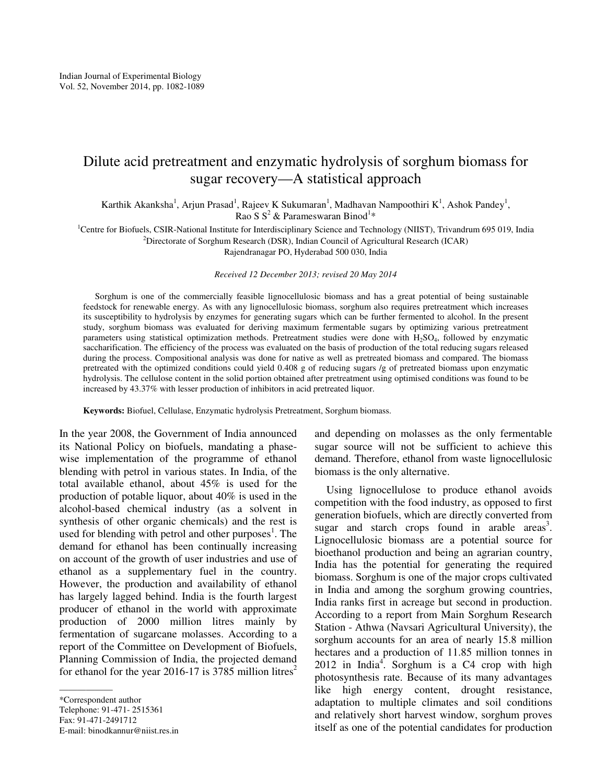# Dilute acid pretreatment and enzymatic hydrolysis of sorghum biomass for sugar recovery—A statistical approach

Karthik Akanksha<sup>1</sup>, Arjun Prasad<sup>1</sup>, Rajeev K Sukumaran<sup>1</sup>, Madhavan Nampoothiri K<sup>1</sup>, Ashok Pandey<sup>1</sup>, Rao S  $S^2$  & Parameswaran Binod<sup>1\*</sup>

<sup>1</sup>Centre for Biofuels, CSIR-National Institute for Interdisciplinary Science and Technology (NIIST), Trivandrum 695 019, India <sup>2</sup>Directorate of Sorghum Research (DSR), Indian Council of Agricultural Research (ICAR)

Rajendranagar PO, Hyderabad 500 030, India

*Received 12 December 2013; revised 20 May 2014* 

Sorghum is one of the commercially feasible lignocellulosic biomass and has a great potential of being sustainable feedstock for renewable energy. As with any lignocellulosic biomass, sorghum also requires pretreatment which increases its susceptibility to hydrolysis by enzymes for generating sugars which can be further fermented to alcohol. In the present study, sorghum biomass was evaluated for deriving maximum fermentable sugars by optimizing various pretreatment parameters using statistical optimization methods. Pretreatment studies were done with H<sub>2</sub>SO<sub>4</sub>, followed by enzymatic saccharification. The efficiency of the process was evaluated on the basis of production of the total reducing sugars released during the process. Compositional analysis was done for native as well as pretreated biomass and compared. The biomass pretreated with the optimized conditions could yield 0.408 g of reducing sugars /g of pretreated biomass upon enzymatic hydrolysis. The cellulose content in the solid portion obtained after pretreatment using optimised conditions was found to be increased by 43.37% with lesser production of inhibitors in acid pretreated liquor.

**Keywords:** Biofuel, Cellulase, Enzymatic hydrolysis Pretreatment, Sorghum biomass.

In the year 2008, the Government of India announced its National Policy on biofuels, mandating a phasewise implementation of the programme of ethanol blending with petrol in various states. In India, of the total available ethanol, about 45% is used for the production of potable liquor, about 40% is used in the alcohol-based chemical industry (as a solvent in synthesis of other organic chemicals) and the rest is used for blending with petrol and other purposes<sup>1</sup>. The demand for ethanol has been continually increasing on account of the growth of user industries and use of ethanol as a supplementary fuel in the country. However, the production and availability of ethanol has largely lagged behind. India is the fourth largest producer of ethanol in the world with approximate production of 2000 million litres mainly by fermentation of sugarcane molasses. According to a report of the Committee on Development of Biofuels, Planning Commission of India, the projected demand for ethanol for the year 2016-17 is 3785 million litres<sup>2</sup>

\*Correspondent author Telephone: 91-471- 2515361 Fax: 91-471-2491712 E-mail: binodkannur@niist.res.in

——————

and depending on molasses as the only fermentable sugar source will not be sufficient to achieve this demand. Therefore, ethanol from waste lignocellulosic biomass is the only alternative.

Using lignocellulose to produce ethanol avoids competition with the food industry, as opposed to first generation biofuels, which are directly converted from sugar and starch crops found in arable areas<sup>3</sup>. Lignocellulosic biomass are a potential source for bioethanol production and being an agrarian country, India has the potential for generating the required biomass. Sorghum is one of the major crops cultivated in India and among the sorghum growing countries, India ranks first in acreage but second in production. According to a report from Main Sorghum Research Station - Athwa (Navsari Agricultural University), the sorghum accounts for an area of nearly 15.8 million hectares and a production of 11.85 million tonnes in  $2012$  in India<sup>4</sup>. Sorghum is a C4 crop with high photosynthesis rate. Because of its many advantages like high energy content, drought resistance, adaptation to multiple climates and soil conditions and relatively short harvest window, sorghum proves itself as one of the potential candidates for production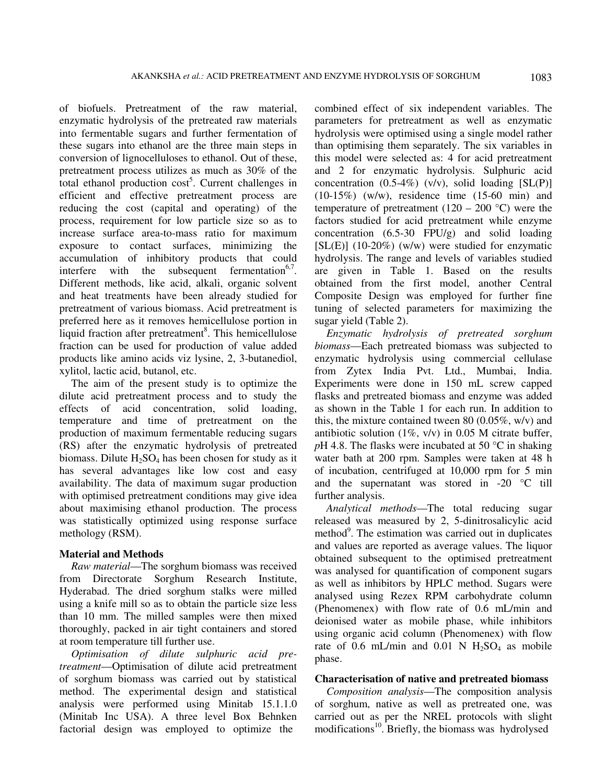of biofuels. Pretreatment of the raw material, enzymatic hydrolysis of the pretreated raw materials into fermentable sugars and further fermentation of these sugars into ethanol are the three main steps in conversion of lignocelluloses to ethanol. Out of these, pretreatment process utilizes as much as 30% of the total ethanol production  $cost^5$ . Current challenges in efficient and effective pretreatment process are reducing the cost (capital and operating) of the process, requirement for low particle size so as to increase surface area-to-mass ratio for maximum exposure to contact surfaces, minimizing the accumulation of inhibitory products that could interfere with the subsequent fermentation<sup>6,7</sup>. Different methods, like acid, alkali, organic solvent and heat treatments have been already studied for pretreatment of various biomass. Acid pretreatment is preferred here as it removes hemicellulose portion in liquid fraction after pretreatment<sup>8</sup>. This hemicellulose fraction can be used for production of value added products like amino acids viz lysine, 2, 3-butanediol, xylitol, lactic acid, butanol, etc.

The aim of the present study is to optimize the dilute acid pretreatment process and to study the effects of acid concentration, solid loading, temperature and time of pretreatment on the production of maximum fermentable reducing sugars (RS) after the enzymatic hydrolysis of pretreated biomass. Dilute  $H_2SO_4$  has been chosen for study as it has several advantages like low cost and easy availability. The data of maximum sugar production with optimised pretreatment conditions may give idea about maximising ethanol production. The process was statistically optimized using response surface methology (RSM).

### **Material and Methods**

*Raw material*—The sorghum biomass was received from Directorate Sorghum Research Institute, Hyderabad. The dried sorghum stalks were milled using a knife mill so as to obtain the particle size less than 10 mm. The milled samples were then mixed thoroughly, packed in air tight containers and stored at room temperature till further use.

*Optimisation of dilute sulphuric acid pretreatment*—Optimisation of dilute acid pretreatment of sorghum biomass was carried out by statistical method. The experimental design and statistical analysis were performed using Minitab 15.1.1.0 (Minitab Inc USA). A three level Box Behnken factorial design was employed to optimize the

combined effect of six independent variables. The parameters for pretreatment as well as enzymatic hydrolysis were optimised using a single model rather than optimising them separately. The six variables in this model were selected as: 4 for acid pretreatment and 2 for enzymatic hydrolysis. Sulphuric acid concentration  $(0.5-4\%)$  (v/v), solid loading [SL(P)] (10-15%) (w/w), residence time (15-60 min) and temperature of pretreatment  $(120 - 200 \degree C)$  were the factors studied for acid pretreatment while enzyme concentration (6.5-30 FPU/g) and solid loading [SL(E)] (10-20%) (w/w) were studied for enzymatic hydrolysis. The range and levels of variables studied are given in Table 1. Based on the results obtained from the first model, another Central Composite Design was employed for further fine tuning of selected parameters for maximizing the sugar yield (Table 2).

*Enzymatic hydrolysis of pretreated sorghum biomass*—Each pretreated biomass was subjected to enzymatic hydrolysis using commercial cellulase from Zytex India Pvt. Ltd., Mumbai, India. Experiments were done in 150 mL screw capped flasks and pretreated biomass and enzyme was added as shown in the Table 1 for each run. In addition to this, the mixture contained tween 80 (0.05%, w/v) and antibiotic solution  $(1\%, v/v)$  in 0.05 M citrate buffer, *p*H 4.8. The flasks were incubated at 50 °C in shaking water bath at 200 rpm. Samples were taken at 48 h of incubation, centrifuged at 10,000 rpm for 5 min and the supernatant was stored in -20 °C till further analysis.

*Analytical methods*—The total reducing sugar released was measured by 2, 5-dinitrosalicylic acid method<sup>9</sup>. The estimation was carried out in duplicates and values are reported as average values. The liquor obtained subsequent to the optimised pretreatment was analysed for quantification of component sugars as well as inhibitors by HPLC method. Sugars were analysed using Rezex RPM carbohydrate column (Phenomenex) with flow rate of 0.6 mL/min and deionised water as mobile phase, while inhibitors using organic acid column (Phenomenex) with flow rate of 0.6 mL/min and 0.01 N  $H<sub>2</sub>SO<sub>4</sub>$  as mobile phase.

### **Characterisation of native and pretreated biomass**

*Composition analysis*—The composition analysis of sorghum, native as well as pretreated one, was carried out as per the NREL protocols with slight modifications<sup>10</sup>. Briefly, the biomass was hydrolysed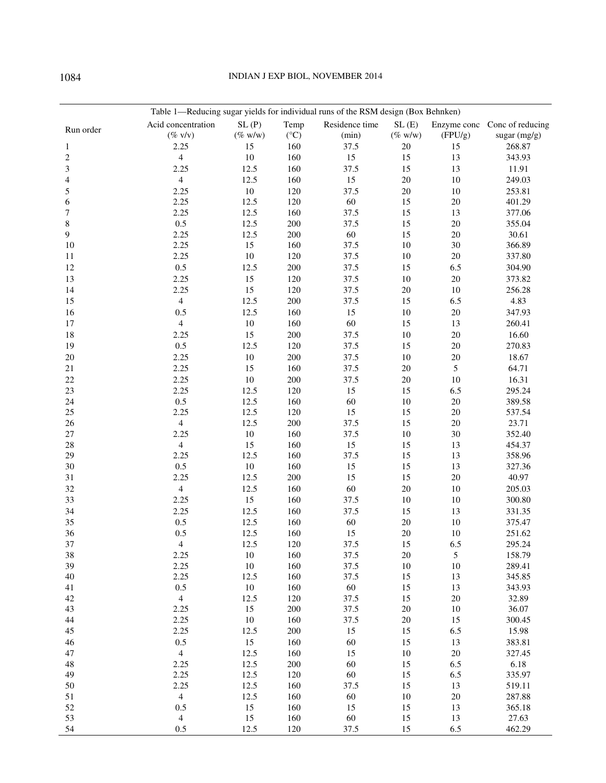## 1084 INDIAN J EXP BIOL, NOVEMBER 2014

|                | Table 1-Reducing sugar yields for individual runs of the RSM design (Box Behnken) |                |                 |                |            |                |                              |
|----------------|-----------------------------------------------------------------------------------|----------------|-----------------|----------------|------------|----------------|------------------------------|
| Run order      | Acid concentration                                                                | SL(P)          | Temp            | Residence time | SL(E)      |                | Enzyme conc Conc of reducing |
|                | $(\%$ v/v)                                                                        | $(\%$ w/w)     | $({}^{\circ}C)$ | (min)          | $(\%$ w/w) | (FPU/g)        | sugar $(mg/g)$               |
| 1              | 2.25                                                                              | 15             | 160             | 37.5           | 20         | 15             | 268.87                       |
| $\overline{c}$ | $\overline{\mathbf{4}}$                                                           | $10\,$         | 160             | 15             | 15         | 13             | 343.93                       |
| 3              | 2.25                                                                              | 12.5           | 160             | 37.5           | 15         | 13             | 11.91                        |
| 4              | $\overline{4}$                                                                    | 12.5           | 160             | 15             | 20         | 10             | 249.03                       |
| 5              | 2.25                                                                              | $10\,$         | 120             | 37.5           | 20         | 10             | 253.81                       |
| 6              | 2.25                                                                              | 12.5           | 120             | 60             | 15         | 20             | 401.29                       |
| 7              | 2.25                                                                              | 12.5           | 160             | 37.5           | 15         | 13             | 377.06                       |
| 8              | 0.5                                                                               | 12.5           | 200             | 37.5           | 15         | 20             | 355.04                       |
| 9              | 2.25                                                                              | 12.5           | 200             | 60             | 15         | 20             | 30.61                        |
| 10             | 2.25                                                                              | 15             | 160             | 37.5           | 10         | 30             | 366.89                       |
| 11             | 2.25                                                                              | $10\,$         | 120             | 37.5           | 10         | 20             | 337.80                       |
| 12             | 0.5                                                                               | 12.5           | 200             | 37.5           | 15         | 6.5            | 304.90                       |
| 13             | 2.25                                                                              | 15             | 120             | 37.5           | $10\,$     | 20             | 373.82                       |
| 14             | 2.25                                                                              | 15             | 120             | 37.5           | $20\,$     | 10             | 256.28                       |
| 15             | $\overline{4}$                                                                    | 12.5           | 200             | 37.5           | 15         | 6.5            | 4.83                         |
| 16             | 0.5                                                                               | 12.5           | 160             | 15             | 10         | 20             | 347.93                       |
| 17             | $\overline{4}$                                                                    | $10\,$         | 160             | 60             | 15         | 13             | 260.41                       |
| 18             | 2.25                                                                              | 15             | 200             | 37.5           | 10         | 20             | 16.60                        |
| 19             | 0.5                                                                               | 12.5           | 120             | 37.5           | 15         | 20             | 270.83                       |
| 20             | 2.25                                                                              | $10\,$         | 200             | 37.5           | 10         | 20             | 18.67                        |
| 21             | 2.25                                                                              | 15             | 160             | 37.5           | 20         | 5              | 64.71                        |
| 22             | 2.25                                                                              | $10\,$         | 200             | 37.5           | 20         | 10             | 16.31                        |
| 23             | 2.25                                                                              | 12.5           | 120             | 15             | 15         | 6.5            | 295.24                       |
| 24             | 0.5                                                                               | 12.5           | 160             | 60             | 10         | 20             | 389.58                       |
| 25             | 2.25                                                                              | 12.5           | 120             | 15             | 15         | 20             | 537.54                       |
| 26             | $\overline{4}$                                                                    | 12.5           | 200             | 37.5           | 15         | 20             | 23.71                        |
| 27             | 2.25                                                                              | $10\,$         | 160             | 37.5           | 10         | 30             | 352.40                       |
| 28             | $\overline{4}$                                                                    | 15             | 160             | 15             | 15         | 13             | 454.37                       |
| 29             | 2.25                                                                              | 12.5           | 160             | 37.5           | 15         | 13             | 358.96                       |
| 30             | 0.5                                                                               | 10             | 160             | 15             | 15         | 13             | 327.36                       |
| 31             | 2.25                                                                              | 12.5           | 200             | 15             | 15         | 20             | 40.97                        |
| 32             | $\overline{4}$                                                                    | 12.5           | 160             | 60             | 20         | 10             | 205.03                       |
| 33             | 2.25                                                                              | 15             | 160             | 37.5           | 10         | 10             | 300.80                       |
| 34             | 2.25                                                                              | 12.5           | 160             | 37.5           | 15         | 13             | 331.35                       |
| 35             | 0.5                                                                               | 12.5           | 160             | 60             | 20         | 10             | 375.47                       |
| 36             | 0.5                                                                               | 12.5           | 160             | 15             | 20         | 10             | 251.62                       |
| 37             | $\overline{4}$                                                                    | 12.5           | 120             | 37.5           | 15         | 6.5            | 295.24                       |
| 38             | 2.25                                                                              | 10             | 160             | 37.5           | 20         | $\mathfrak{S}$ | 158.79                       |
| 39<br>40       | 2.25<br>2.25                                                                      | $10\,$         | 160<br>160      | 37.5<br>37.5   | 10         | 10             | 289.41<br>345.85             |
| 41             | 0.5                                                                               | 12.5<br>$10\,$ | 160             | $60\,$         | 15<br>15   | 13<br>13       | 343.93                       |
| 42             | $\overline{4}$                                                                    | 12.5           | 120             | 37.5           | 15         | 20             | 32.89                        |
| 43             | 2.25                                                                              | 15             | 200             | 37.5           | 20         | 10             | 36.07                        |
| $44\,$         | 2.25                                                                              | $10\,$         | 160             | 37.5           | $20\,$     | 15             | 300.45                       |
| 45             | 2.25                                                                              | 12.5           | 200             | 15             | 15         | 6.5            | 15.98                        |
| 46             | 0.5                                                                               | 15             | 160             | 60             | 15         | 13             | 383.81                       |
| 47             | $\overline{4}$                                                                    | 12.5           | 160             | 15             | $10\,$     | 20             | 327.45                       |
| 48             | 2.25                                                                              | 12.5           | 200             | 60             | 15         | 6.5            | 6.18                         |
| 49             | 2.25                                                                              | 12.5           | 120             | 60             | 15         | 6.5            | 335.97                       |
| 50             | 2.25                                                                              | 12.5           | 160             | 37.5           | 15         | 13             | 519.11                       |
| 51             | $\overline{4}$                                                                    | 12.5           | 160             | 60             | 10         | 20             | 287.88                       |
| $52\,$         | 0.5                                                                               | 15             | 160             | 15             | 15         | 13             | 365.18                       |
| 53             | $\overline{4}$                                                                    | 15             | 160             | 60             | 15         | 13             | 27.63                        |
| 54             | 0.5                                                                               | 12.5           | 120             | 37.5           | 15         | 6.5            | 462.29                       |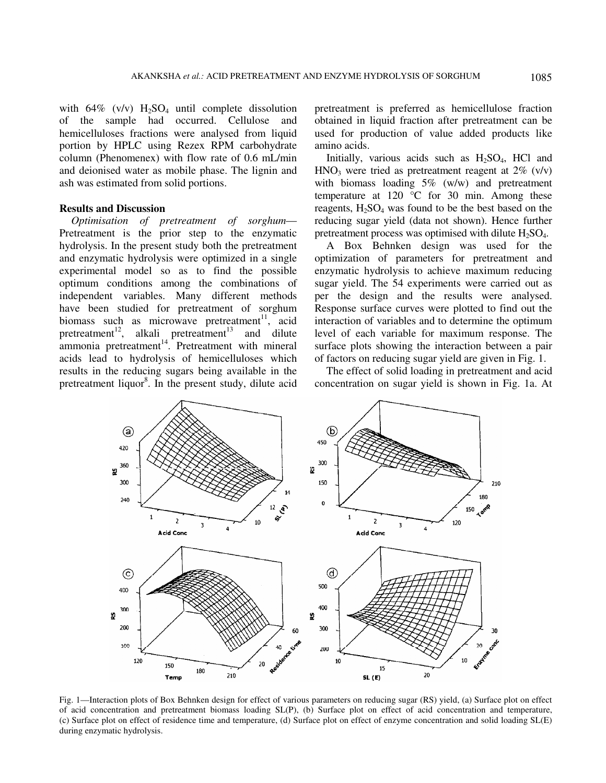with  $64\%$  (v/v)  $H_2SO_4$  until complete dissolution of the sample had occurred. Cellulose and hemicelluloses fractions were analysed from liquid portion by HPLC using Rezex RPM carbohydrate column (Phenomenex) with flow rate of 0.6 mL/min and deionised water as mobile phase. The lignin and ash was estimated from solid portions.

## **Results and Discussion**

*Optimisation of pretreatment of sorghum*— Pretreatment is the prior step to the enzymatic hydrolysis. In the present study both the pretreatment and enzymatic hydrolysis were optimized in a single experimental model so as to find the possible optimum conditions among the combinations of independent variables. Many different methods have been studied for pretreatment of sorghum biomass such as microwave pretreatment<sup>11</sup>, acid pretreatment<sup>12</sup>, alkali pretreatment<sup>13</sup> and dilute ammonia pretreatment $14$ . Pretreatment with mineral acids lead to hydrolysis of hemicelluloses which results in the reducing sugars being available in the pretreatment liquor<sup>8</sup>. In the present study, dilute acid pretreatment is preferred as hemicellulose fraction obtained in liquid fraction after pretreatment can be used for production of value added products like amino acids.

Initially, various acids such as  $H_2SO_4$ , HCl and  $HNO<sub>3</sub>$  were tried as pretreatment reagent at 2% (v/v) with biomass loading 5% (w/w) and pretreatment temperature at 120 °C for 30 min. Among these reagents,  $H_2SO_4$  was found to be the best based on the reducing sugar yield (data not shown). Hence further pretreatment process was optimised with dilute  $H_2SO_4$ .

A Box Behnken design was used for the optimization of parameters for pretreatment and enzymatic hydrolysis to achieve maximum reducing sugar yield. The 54 experiments were carried out as per the design and the results were analysed. Response surface curves were plotted to find out the interaction of variables and to determine the optimum level of each variable for maximum response. The surface plots showing the interaction between a pair of factors on reducing sugar yield are given in Fig. 1.

The effect of solid loading in pretreatment and acid concentration on sugar yield is shown in Fig. 1a. At



Fig. 1—Interaction plots of Box Behnken design for effect of various parameters on reducing sugar (RS) yield, (a) Surface plot on effect of acid concentration and pretreatment biomass loading SL(P), (b) Surface plot on effect of acid concentration and temperature, (c) Surface plot on effect of residence time and temperature, (d) Surface plot on effect of enzyme concentration and solid loading SL(E) during enzymatic hydrolysis.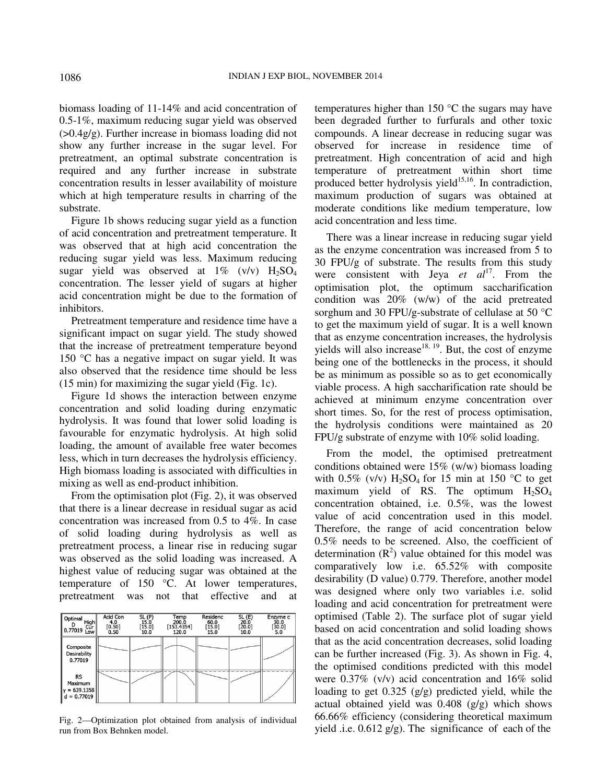biomass loading of 11-14% and acid concentration of 0.5-1%, maximum reducing sugar yield was observed  $(0.4g/g)$ . Further increase in biomass loading did not show any further increase in the sugar level. For pretreatment, an optimal substrate concentration is required and any further increase in substrate concentration results in lesser availability of moisture which at high temperature results in charring of the substrate.

Figure 1b shows reducing sugar yield as a function of acid concentration and pretreatment temperature. It was observed that at high acid concentration the reducing sugar yield was less. Maximum reducing sugar yield was observed at  $1\%$  (v/v)  $H_2SO_4$ concentration. The lesser yield of sugars at higher acid concentration might be due to the formation of inhibitors.

Pretreatment temperature and residence time have a significant impact on sugar yield. The study showed that the increase of pretreatment temperature beyond 150 °C has a negative impact on sugar yield. It was also observed that the residence time should be less (15 min) for maximizing the sugar yield (Fig. 1c).

Figure 1d shows the interaction between enzyme concentration and solid loading during enzymatic hydrolysis. It was found that lower solid loading is favourable for enzymatic hydrolysis. At high solid loading, the amount of available free water becomes less, which in turn decreases the hydrolysis efficiency. High biomass loading is associated with difficulties in mixing as well as end-product inhibition.

From the optimisation plot (Fig. 2), it was observed that there is a linear decrease in residual sugar as acid concentration was increased from 0.5 to 4%. In case of solid loading during hydrolysis as well as pretreatment process, a linear rise in reducing sugar was observed as the solid loading was increased. A highest value of reducing sugar was obtained at the temperature of 150 °C. At lower temperatures, pretreatment was not that effective and at



Fig. 2—Optimization plot obtained from analysis of individual run from Box Behnken model.

temperatures higher than 150 °C the sugars may have been degraded further to furfurals and other toxic compounds. A linear decrease in reducing sugar was observed for increase in residence time of pretreatment. High concentration of acid and high temperature of pretreatment within short time produced better hydrolysis yield $15,16$ . In contradiction, maximum production of sugars was obtained at moderate conditions like medium temperature, low acid concentration and less time.

There was a linear increase in reducing sugar yield as the enzyme concentration was increased from 5 to 30 FPU/g of substrate. The results from this study were consistent with Jeya *et al*<sup>17</sup>. From the optimisation plot, the optimum saccharification condition was 20% (w/w) of the acid pretreated sorghum and 30 FPU/g-substrate of cellulase at 50 °C to get the maximum yield of sugar. It is a well known that as enzyme concentration increases, the hydrolysis yields will also increase<sup>18, 19</sup>. But, the cost of enzyme being one of the bottlenecks in the process, it should be as minimum as possible so as to get economically viable process. A high saccharification rate should be achieved at minimum enzyme concentration over short times. So, for the rest of process optimisation, the hydrolysis conditions were maintained as 20 FPU/g substrate of enzyme with 10% solid loading.

From the model, the optimised pretreatment conditions obtained were 15% (w/w) biomass loading with  $0.5\%$  (v/v) H<sub>2</sub>SO<sub>4</sub> for 15 min at 150 °C to get maximum yield of RS. The optimum  $H<sub>2</sub>SO<sub>4</sub>$ concentration obtained, i.e. 0.5%, was the lowest value of acid concentration used in this model. Therefore, the range of acid concentration below 0.5% needs to be screened. Also, the coefficient of determination  $(R^2)$  value obtained for this model was comparatively low i.e. 65.52% with composite desirability (D value) 0.779. Therefore, another model was designed where only two variables i.e. solid loading and acid concentration for pretreatment were optimised (Table 2). The surface plot of sugar yield based on acid concentration and solid loading shows that as the acid concentration decreases, solid loading can be further increased (Fig. 3). As shown in Fig. 4, the optimised conditions predicted with this model were 0.37% (v/v) acid concentration and 16% solid loading to get 0.325 (g/g) predicted yield, while the actual obtained yield was 0.408 (g/g) which shows 66.66% efficiency (considering theoretical maximum yield .i.e.  $0.612$  g/g). The significance of each of the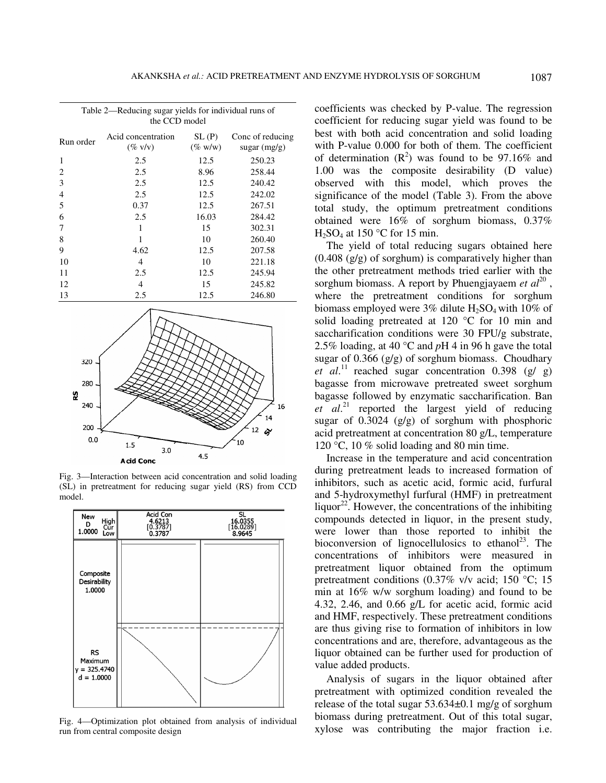| Table 2—Reducing sugar yields for individual runs of<br>the CCD model |                                  |                     |                                    |  |  |  |
|-----------------------------------------------------------------------|----------------------------------|---------------------|------------------------------------|--|--|--|
| Run order                                                             | Acid concentration<br>$(\%$ v/v) | SL(P)<br>$(\%$ w/w) | Conc of reducing<br>sugar $(mg/g)$ |  |  |  |
| 1                                                                     | 2.5                              | 12.5                | 250.23                             |  |  |  |
| 2                                                                     | 2.5                              | 8.96                | 258.44                             |  |  |  |
| 3                                                                     | 2.5                              | 12.5                | 240.42                             |  |  |  |
| 4                                                                     | 2.5                              | 12.5                | 242.02                             |  |  |  |
| 5                                                                     | 0.37                             | 12.5                | 267.51                             |  |  |  |
| 6                                                                     | 2.5                              | 16.03               | 284.42                             |  |  |  |
| 7                                                                     | 1                                | 15                  | 302.31                             |  |  |  |
| 8                                                                     | 1                                | 10                  | 260.40                             |  |  |  |
| 9                                                                     | 4.62                             | 12.5                | 207.58                             |  |  |  |
| 10                                                                    | 4                                | 10                  | 221.18                             |  |  |  |
| 11                                                                    | 2.5                              | 12.5                | 245.94                             |  |  |  |
| 12                                                                    | $\overline{4}$                   | 15                  | 245.82                             |  |  |  |
| 13                                                                    | 2.5                              | 12.5                | 246.80                             |  |  |  |



Fig. 3—Interaction between acid concentration and solid loading (SL) in pretreatment for reducing sugar yield (RS) from CCD model.



Fig. 4—Optimization plot obtained from analysis of individual run from central composite design

coefficients was checked by P-value. The regression coefficient for reducing sugar yield was found to be best with both acid concentration and solid loading with P-value 0.000 for both of them. The coefficient of determination  $(R^2)$  was found to be 97.16% and 1.00 was the composite desirability (D value) observed with this model, which proves the significance of the model (Table 3). From the above total study, the optimum pretreatment conditions obtained were 16% of sorghum biomass, 0.37%  $H<sub>2</sub>SO<sub>4</sub>$  at 150 °C for 15 min.

The yield of total reducing sugars obtained here (0.408 (g/g) of sorghum) is comparatively higher than the other pretreatment methods tried earlier with the sorghum biomass. A report by Phuengjayaem  $et$   $al^{20}$ , where the pretreatment conditions for sorghum biomass employed were  $3\%$  dilute H<sub>2</sub>SO<sub>4</sub> with 10% of solid loading pretreated at 120 °C for 10 min and saccharification conditions were 30 FPU/g substrate, 2.5% loading, at 40 °C and *p*H 4 in 96 h gave the total sugar of 0.366 (g/g) of sorghum biomass. Choudhary *et al.*<sup>11</sup> reached sugar concentration 0.398 (g/ g) bagasse from microwave pretreated sweet sorghum bagasse followed by enzymatic saccharification. Ban *et al*. <sup>21</sup> reported the largest yield of reducing sugar of 0.3024 (g/g) of sorghum with phosphoric acid pretreatment at concentration 80 g/L, temperature 120 °C, 10 % solid loading and 80 min time.

Increase in the temperature and acid concentration during pretreatment leads to increased formation of inhibitors, such as acetic acid, formic acid, furfural and 5-hydroxymethyl furfural (HMF) in pretreatment liquor<sup>22</sup>. However, the concentrations of the inhibiting compounds detected in liquor, in the present study, were lower than those reported to inhibit the bioconversion of lignocellulosics to ethanol<sup>23</sup>. The concentrations of inhibitors were measured in pretreatment liquor obtained from the optimum pretreatment conditions (0.37% v/v acid; 150 °C; 15 min at 16% w/w sorghum loading) and found to be 4.32, 2.46, and 0.66 g/L for acetic acid, formic acid and HMF, respectively. These pretreatment conditions are thus giving rise to formation of inhibitors in low concentrations and are, therefore, advantageous as the liquor obtained can be further used for production of value added products.

Analysis of sugars in the liquor obtained after pretreatment with optimized condition revealed the release of the total sugar  $53.634\pm0.1$  mg/g of sorghum biomass during pretreatment. Out of this total sugar, xylose was contributing the major fraction i.e.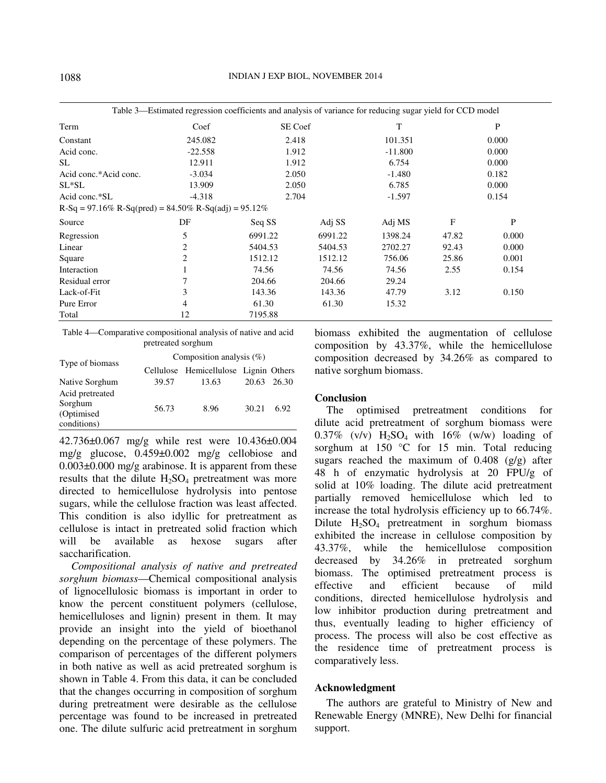|                                                           | Table 3—Estimated regression coefficients and analysis of variance for reducing sugar yield for CCD model |         |         |           |       |              |  |
|-----------------------------------------------------------|-----------------------------------------------------------------------------------------------------------|---------|---------|-----------|-------|--------------|--|
| Term                                                      | Coef                                                                                                      | SE Coef |         | T         |       | P            |  |
| Constant                                                  | 245.082                                                                                                   | 2.418   |         | 101.351   |       | 0.000        |  |
| Acid conc.                                                | $-22.558$                                                                                                 | 1.912   |         | $-11.800$ |       | 0.000        |  |
| <b>SL</b>                                                 | 12.911                                                                                                    | 1.912   |         | 6.754     |       | 0.000        |  |
| Acid conc.*Acid conc.                                     | $-3.034$                                                                                                  | 2.050   |         | $-1.480$  |       | 0.182        |  |
| $SL*SL$                                                   | 13.909                                                                                                    | 2.050   |         | 6.785     | 0.000 |              |  |
| Acid conc.*SL                                             | $-4.318$                                                                                                  | 2.704   |         | $-1.597$  |       | 0.154        |  |
| $R-Sq = 97.16\% R-Sq(pred) = 84.50\% R-Sq(adj) = 95.12\%$ |                                                                                                           |         |         |           |       |              |  |
| Source                                                    | DF                                                                                                        | Seq SS  | Adj SS  | Adj MS    | F     | $\mathbf{P}$ |  |
| Regression                                                | 5                                                                                                         | 6991.22 | 6991.22 | 1398.24   | 47.82 | 0.000        |  |
| Linear                                                    | 2                                                                                                         | 5404.53 | 5404.53 | 2702.27   | 92.43 | 0.000        |  |
| Square                                                    | 2                                                                                                         | 1512.12 | 1512.12 | 756.06    | 25.86 | 0.001        |  |
| Interaction                                               |                                                                                                           | 74.56   | 74.56   | 74.56     | 2.55  | 0.154        |  |
| Residual error                                            |                                                                                                           | 204.66  | 204.66  | 29.24     |       |              |  |
| Lack-of-Fit                                               | 3                                                                                                         | 143.36  | 143.36  | 47.79     | 3.12  | 0.150        |  |
| Pure Error                                                | 4                                                                                                         | 61.30   | 61.30   | 15.32     |       |              |  |
| Total                                                     | 12                                                                                                        | 7195.88 |         |           |       |              |  |

Table 4—Comparative compositional analysis of native and acid pretreated sorghum

|                                                          | Composition analysis $(\%)$ |                                       |            |             |  |
|----------------------------------------------------------|-----------------------------|---------------------------------------|------------|-------------|--|
| Type of biomass                                          |                             | Cellulose Hemicellulose Lignin Others |            |             |  |
| Native Sorghum                                           | 39.57                       | 13.63                                 |            | 20.63 26.30 |  |
| Acid pretreated<br>Sorghum<br>(Optimised)<br>conditions) | 56.73                       | 8.96                                  | 30.21 6.92 |             |  |

42.736±0.067 mg/g while rest were 10.436±0.004 mg/g glucose, 0.459±0.002 mg/g cellobiose and  $0.003\pm0.000$  mg/g arabinose. It is apparent from these results that the dilute  $H_2SO_4$  pretreatment was more directed to hemicellulose hydrolysis into pentose sugars, while the cellulose fraction was least affected. This condition is also idyllic for pretreatment as cellulose is intact in pretreated solid fraction which will be available as hexose sugars after saccharification.

*Compositional analysis of native and pretreated sorghum biomass*—Chemical compositional analysis of lignocellulosic biomass is important in order to know the percent constituent polymers (cellulose, hemicelluloses and lignin) present in them. It may provide an insight into the yield of bioethanol depending on the percentage of these polymers. The comparison of percentages of the different polymers in both native as well as acid pretreated sorghum is shown in Table 4. From this data, it can be concluded that the changes occurring in composition of sorghum during pretreatment were desirable as the cellulose percentage was found to be increased in pretreated one. The dilute sulfuric acid pretreatment in sorghum biomass exhibited the augmentation of cellulose composition by 43.37%, while the hemicellulose composition decreased by 34.26% as compared to native sorghum biomass.

### **Conclusion**

The optimised pretreatment conditions for dilute acid pretreatment of sorghum biomass were  $0.37\%$  (v/v)  $H_2SO_4$  with  $16\%$  (w/w) loading of sorghum at 150 °C for 15 min. Total reducing sugars reached the maximum of  $0.408$  (g/g) after 48 h of enzymatic hydrolysis at 20 FPU/g of solid at 10% loading. The dilute acid pretreatment partially removed hemicellulose which led to increase the total hydrolysis efficiency up to 66.74%. Dilute  $H_2SO_4$  pretreatment in sorghum biomass exhibited the increase in cellulose composition by 43.37%, while the hemicellulose composition decreased by 34.26% in pretreated sorghum biomass. The optimised pretreatment process is effective and efficient because of mild conditions, directed hemicellulose hydrolysis and low inhibitor production during pretreatment and thus, eventually leading to higher efficiency of process. The process will also be cost effective as the residence time of pretreatment process is comparatively less.

#### **Acknowledgment**

The authors are grateful to Ministry of New and Renewable Energy (MNRE), New Delhi for financial support.